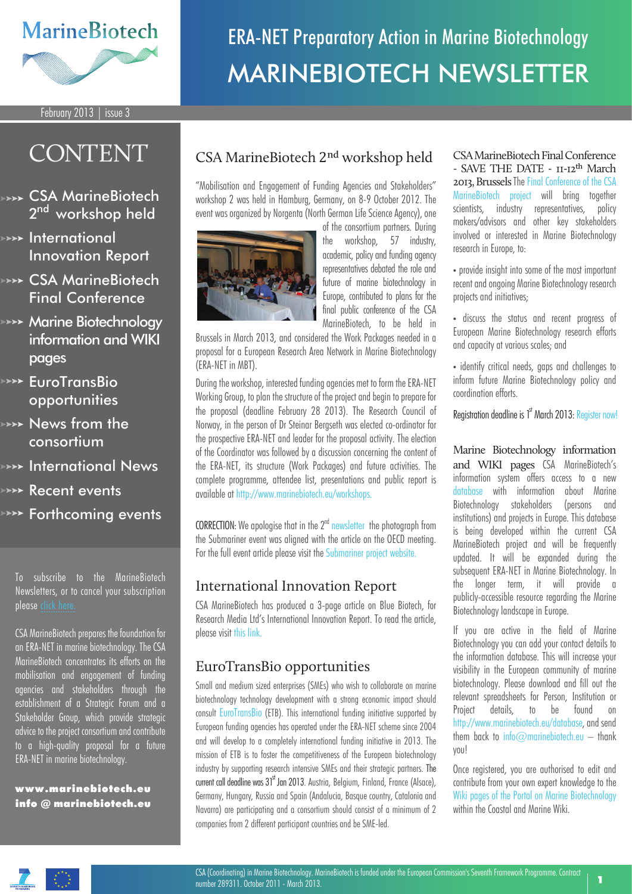### **MarineBiotech**

# ERA-NET Preparatory Action in Marine Biotechnology MARINEBIOTECH NEWSLETTER

February 2013 | issue 3

## CONTENT

- **EXA** CSA MarineBiotech 2<sup>nd</sup> workshop held
- **>>>> International** Innovation Report
- **EXAMARE CSA MarineBiotech** Final Conference
- **ARAY** Marine Biotechnology information and WIKI pages
- **EuroTransBio** opportunities
- **News from the** consortium
- **International News**
- Recent events
- **Forthcoming events**

To subscribe to the MarineBiotech Newsletters, or to cancel your subscription please cli

CSA MarineBiotech prepares the foundation for an ERA-NET in marine biotechnology. The CSA MarineBiotech concentrates its efforts on the mobilisation and engagement of funding agencies and stakeholders through the establishment of a Strategic Forum and a Stakeholder Group, which provide strategic advice to the project consortium and contribute to a high-quality proposal for a future ERA-NET in marine biotechnology.

www .marinebiotech.eu info @ marinebiotech.eu

### CSA MarineBiotech 2nd workshop held

"Mobilisation and Engagement of Funding Agencies and Stakeholders" workshop 2 was held in Hamburg, Germany, on 8-9 October 2012. The event was organized by Norgenta (North German Life Science Agency), one



of the consortium partners. During the workshop, 57 industry, academic, policy and funding agency representatives debated the role and future of marine biotechnology in Europe, contributed to plans for the final public conference of the CSA MarineBiotech, to be held in

Brussels in March 2013, and considered the Work Packages needed in a proposal for a European Research Area Network in Marine Biotechnology (ERA-NET in MBT).

During the workshop, interested funding agencies met to form the ERA-NET Working Group, to plan the structure of the project and begin to prepare for the proposal (deadline February 28 2013). The Research Council of Norway, in the person of Dr Steinar Bergseth was elected co-ordinator for the prospective ERA-NET and leader for the proposal activity. The election of the Coordinator was followed by a discussion concerning the content of the ERA-NET, its structure (Work Packages) and future activities. The complete programme, attendee list, presentations and public report is available at http://www.marinebiotech.eu/workshops.

CORRECTION: We apologise that in the 2<sup>nd</sup> [newsletter](http://www.marinebiotech.eu/images/library/newsletter/newsletter-august-120828.pdf) the photograph from the Submariner event was aligned with the article on the OECD meeting. For the full event article please visit the [Submariner project website.](http://www.submariner-project.eu/index.php?option=com_content&view=category&layout=blog&id=37&Itemid=152)

#### International Innovation Report

CSA MarineBiotech has produced a 3-page article on Blue Biotech, for Research Media Ltd's International Innovation Report. To read the article, please visit [this link.](http://www.marinebiotech.eu/images/library/CSA_MarineBiotech_Brochure_RM.pdf)

#### EuroTransBio opportunities

Small and medium sized enterprises (SMEs) who wish to collaborate on marine biotechnology technology development with a strong economic impact should consult [EuroTransBio](http://www.eurotransbio.eu/) (ETB). This international funding initiative supported by European funding agencies has operated under the ERA-NET scheme since 2004 and will develop to a completely international funding initiative in 2013. The mission of ETB is to foster the competitiveness of the European biotechnology industry by supporting research intensive SMEs and their strategic partners. The current call deadline was 31<sup>st</sup> Jan 2013. Austria, Belgium, Finland, France (Alsace), Germany, Hungary, Russia and Spain (Andalucia, Basque country, Catalonia and Navarra) are participating and a consortium should consist of a minimum of 2 companies from 2 different participant countries and be SME-led.

CSA MarineBiotech Final Conference - SAVE THE DATE - 11-12th March 2013, Brussels Th[e Final Conference of the CSA](http://www.marinebiotech.eu/conference)  [MarineBiotech project](http://www.marinebiotech.eu/conference) will bring together scientists, industry representatives, policy makers/advisors and other key stakeholders involved or interested in Marine Biotechnology research in Europe, to:

• provide insight into some of the most important recent and ongoing Marine Biotechnology research projects and initiatives;

• discuss the status and recent progress of European Marine Biotechnology research efforts and capacity at various scales; and

• identify critical needs, gaps and challenges to inform future Marine Biotechnology policy and coordination efforts.

Registration deadline is 1<sup>st</sup> March 2013: [Register now!](http://www.marinebiotech.eu/conference/registration)

Marine Biotechnology information and WIKI pages CSA MarineBiotech's information system offers access to a new [database](http://www.marinebiotech.eu/component/imis/?module=institute) with information about Marine Biotechnology stakeholders (persons and institutions) and projects in Europe. This database is being developed within the current CSA MarineBiotech project and will be frequently updated. It will be expanded during the subsequent ERA-NET in Marine Biotechnology. In the longer term, it will provide a publicly-accessible resource regarding the Marine Biotechnology landscape in Europe.

If you are active in the field of Marine Biotechnology you can add your contact details to the information database. This will increase your visibility in the European community of marine biotechnology. Please download and fill out the relevant spreadsheets for Person, Institution or Project details, to be found on http://www.marinebiotech.eu/database, and send them back to info $\oslash$ marinebiotech.eu – thank you!

Once registered, you are authorised to edit and contribute from your own expert knowledge to the [Wiki pages of the Portal on Marine Biotechnology](http://www.marinebiotech.eu/wiki)  within the Coastal and Marine Wiki.